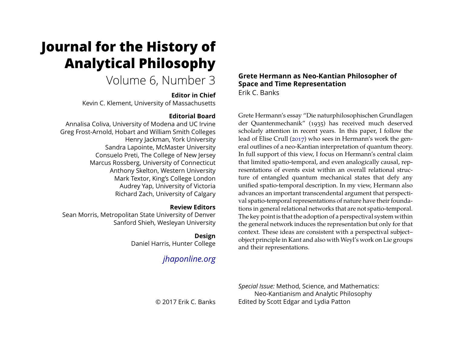# **Journal for the History of Analytical Philosophy**

# Volume 6, Number 3

# **Editor in Chief**

Kevin C. Klement, University of Massachusetts

# **Editorial Board**

Annalisa Coliva, University of Modena and UC Irvine Greg Frost-Arnold, Hobart and William Smith Colleges Henry Jackman, York University Sandra Lapointe, McMaster University Consuelo Preti, The College of New Jersey Marcus Rossberg, University of Connecticut Anthony Skelton, Western University Mark Textor, King's College London Audrey Yap, University of Victoria Richard Zach, University of Calgary

# **Review Editors**

Sean Morris, Metropolitan State University of Denver Sanford Shieh, Wesleyan University

# **Design**

Daniel Harris, Hunter College

# *[jhaponline.org](https://jhaponline.org)*

# **Grete Hermann as Neo-Kantian Philosopher of Space and Time Representation** Erik C. Banks

Grete Hermann's essay "Die naturphilosophischen Grundlagen der Quantenmechanik" (1935) has received much deserved scholarly attention in recent years. In this paper, I follow the lead of Elise Crull [\(2017\)](#page-18-0) who sees in Hermann's work the general outlines of a neo-Kantian interpretation of quantum theory. In full support of this view, I focus on Hermann's central claim that limited spatio-temporal, and even analogically causal, representations of events exist within an overall relational structure of entangled quantum mechanical states that defy any unified spatio-temporal description. In my view, Hermann also advances an important transcendental argument that perspectival spatio-temporal representations of nature have their foundations in general relational networks that are not spatio-temporal. The key point is that the adoption of a perspectival system within the general network induces the representation but only for that context. These ideas are consistent with a perspectival subject– object principle in Kant and also with Weyl's work on Lie groups and their representations.

*Special Issue:* Method, Science, and Mathematics: Neo-Kantianism and Analytic Philosophy Edited by Scott Edgar and Lydia Patton

© 2017 Erik C. Banks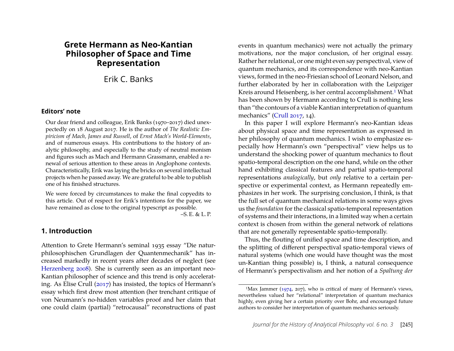# **Grete Hermann as Neo-Kantian Philosopher of Space and Time Representation**

Erik C. Banks

#### **Editors' note**

Our dear friend and colleague, Erik Banks (1970–2017) died unexpectedly on 18 August 2017. He is the author of *The Realistic Empiricism of Mach, James and Russell*, of *Ernst Mach's World-Elements*, and of numerous essays. His contributions to the history of analytic philosophy, and especially to the study of neutral monism and figures such as Mach and Hermann Grassmann, enabled a renewal of serious attention to these areas in Anglophone contexts. Characteristically, Erik was laying the bricks on several intellectual projects when he passed away. We are grateful to be able to publish one of his finished structures.

We were forced by circumstances to make the final copyedits to this article. Out of respect for Erik's intentions for the paper, we have remained as close to the original typescript as possible.

 $-S.E. \& L.P.$ 

#### **1. Introduction**

Attention to Grete Hermann's seminal 1935 essay "Die naturphilosophischen Grundlagen der Quantenmechanik" has increased markedly in recent years after decades of neglect (see [Herzenberg 2008\)](#page-19-0). She is currently seen as an important neo-Kantian philosopher of science and this trend is only accelerating. As Elise Crull [\(2017\)](#page-18-0) has insisted, the topics of Hermann's essay which first drew most attention (her trenchant critique of von Neumann's no-hidden variables proof and her claim that one could claim (partial) "retrocausal" reconstructions of past

events in quantum mechanics) were not actually the primary motivations, nor the major conclusion, of her original essay. Rather her relational, or one might even say perspectival, view of quantum mechanics, and its correspondence with neo-Kantian views, formed in the neo-Friesian school of Leonard Nelson, and further elaborated by her in collaboration with the Leipziger Kreis around Heisenberg, is her central accomplishment.<sup>[1](#page-1-0)</sup> What has been shown by Hermann according to Crull is nothing less than "the contours of a viable Kantian interpretation of quantum mechanics" [\(Crull 2017,](#page-18-0) 14).

In this paper I will explore Hermann's neo-Kantian ideas about physical space and time representation as expressed in her philosophy of quantum mechanics. I wish to emphasize especially how Hermann's own "perspectival" view helps us to understand the shocking power of quantum mechanics to flout spatio-temporal description on the one hand, while on the other hand exhibiting classical features and partial spatio-temporal representations *analogically*, but *only* relative to a certain perspective or experimental context, as Hermann repeatedly emphasizes in her work. The surprising conclusion, I think, is that the full set of quantum mechanical relations in some ways gives us the *foundation* for the classical spatio-temporal representation of systems and their interactions, in a limited way when a certain context is chosen from within the general network of relations that are not generally representable spatio-temporally.

Thus, the flouting of unified space and time description, and the splitting of different perspectival spatio-temporal views of natural systems (which one would have thought was the most un-Kantian thing possible) is, I think, a natural consequence of Hermann's perspectivalism and her notion of a *Spaltung der*

<span id="page-1-0"></span><sup>&</sup>lt;sup>1</sup>Max Jammer [\(1974,](#page-19-1) 207), who is critical of many of Hermann's views, nevertheless valued her "relational" interpretation of quantum mechanics highly, even giving her a certain priority over Bohr, and encouraged future authors to consider her interpretation of quantum mechanics seriously.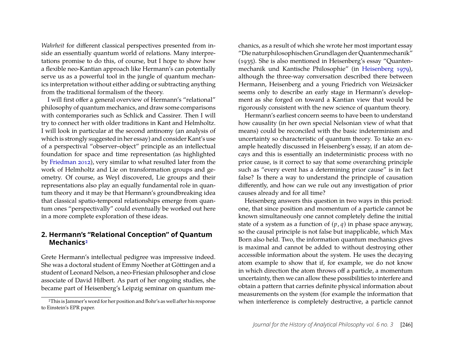*Wahrheit* for different classical perspectives presented from inside an essentially quantum world of relations. Many interpretations promise to do this, of course, but I hope to show how a flexible neo-Kantian approach like Hermann's can potentially serve us as a powerful tool in the jungle of quantum mechanics interpretation without either adding or subtracting anything from the traditional formalism of the theory.

I will first offer a general overview of Hermann's "relational" philosophy of quantum mechanics, and draw some comparisons with contemporaries such as Schlick and Cassirer. Then I will try to connect her with older traditions in Kant and Helmholtz. I will look in particular at the second antinomy (an analysis of which is strongly suggested in her essay) and consider Kant's use of a perspectival "observer–object" principle as an intellectual foundation for space and time representation (as highlighted by [Friedman 2012\)](#page-19-2), very similar to what resulted later from the work of Helmholtz and Lie on transformation groups and geometry. Of course, as Weyl discovered, Lie groups and their representations also play an equally fundamental role in quantum theory and it may be that Hermann's groundbreaking idea that classical spatio-temporal relationships emerge from quantum ones "perspectivally" could eventually be worked out here in a more complete exploration of these ideas.

# **2. Hermann's "Relational Conception" of Quantum Mechanics[2](#page-2-0)**

Grete Hermann's intellectual pedigree was impressive indeed. She was a doctoral student of Emmy Noether at Göttingen and a student of Leonard Nelson, a neo-Friesian philosopher and close associate of David Hilbert. As part of her ongoing studies, she became part of Heisenberg's Leipzig seminar on quantum me-

chanics, as a result of which she wrote her most important essay "Die naturphilosophischen Grundlagen der Quantenmechanik" (1935). She is also mentioned in Heisenberg's essay "Quantenmechanik und Kantische Philosophie" (in [Heisenberg 1979\)](#page-19-3), although the three-way conversation described there between Hermann, Heisenberg and a young Friedrich von Weizsäcker seems only to describe an early stage in Hermann's development as she forged on toward a Kantian view that would be rigorously consistent with the new science of quantum theory.

Hermann's earliest concern seems to have been to understand how causality (in her own special Nelsonian view of what that means) could be reconciled with the basic indeterminism and uncertainty so characteristic of quantum theory. To take an example heatedly discussed in Heisenberg's essay, if an atom decays and this is essentially an indeterministic process with no prior cause, is it correct to say that some overarching principle such as "every event has a determining prior cause" is in fact false? Is there a way to understand the principle of causation differently, and how can we rule out any investigation of prior causes already and for all time?

Heisenberg answers this question in two ways in this period: one, that since position and momentum of a particle cannot be known simultaneously one cannot completely define the initial state of a system as a function of  $(p, q)$  in phase space anyway, so the causal principle is not false but inapplicable, which Max Born also held. Two, the information quantum mechanics gives is maximal and cannot be added to without destroying other accessible information about the system. He uses the decaying atom example to show that if, for example, we do not know in which direction the atom throws off a particle, a momentum uncertainty, then we can allow these possibilities to interfere and obtain a pattern that carries definite physical information about measurements on the system (for example the information that when interference is completely destructive, a particle cannot

<span id="page-2-0"></span><sup>2</sup>This is Jammer's word for her position and Bohr's as well after his response to Einstein's EPR paper.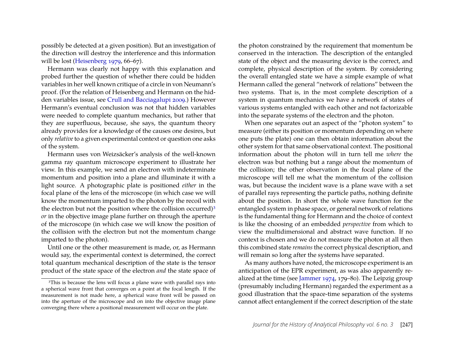possibly be detected at a given position). But an investigation of the direction will destroy the interference and this information will be lost [\(Heisenberg 1979,](#page-19-3) 66–67).

Hermann was clearly not happy with this explanation and probed further the question of whether there could be hidden variables in her well known critique of a circle in von Neumann's proof. (For the relation of Heisenberg and Hermann on the hidden variables issue, see [Crull and Bacciagalupi 2009.](#page-18-1)) However Hermann's eventual conclusion was not that hidden variables were needed to complete quantum mechanics, but rather that they are superfluous, because, she says, the quantum theory already provides for a knowledge of the causes one desires, but only *relative*to a given experimental context or question one asks of the system.

Hermann uses von Weizsäcker's analysis of the well-known gamma ray quantum microscope experiment to illustrate her view. In this example, we send an electron with indeterminate momentum and position into a plane and illuminate it with a light source. A photographic plate is positioned *either* in the focal plane of the lens of the microscope (in which case we will know the momentum imparted to the photon by the recoil with the electron but not the position where the collision occurred)<sup>[3](#page-3-0)</sup> *or* in the objective image plane further on through the aperture of the microscope (in which case we will know the position of the collision with the electron but not the momentum change imparted to the photon).

Until one or the other measurement is made, or, as Hermann would say, the experimental context is determined, the correct total quantum mechanical description of the state is the tensor product of the state space of the electron *and* the state space of the photon constrained by the requirement that momentum be conserved in the interaction. The description of the entangled state of the object and the measuring device is the correct, and complete, physical description of the system. By considering the overall entangled state we have a simple example of what Hermann called the general "network of relations" between the two systems. That is, in the most complete description of a system in quantum mechanics we have a network of states of various systems entangled with each other and not factorizable into the separate systems of the electron and the photon.

When one separates out an aspect of the "photon system" to measure (either its position or momentum depending on where one puts the plate) one can then obtain information about the other system for that same observational context. The positional information about the photon will in turn tell me *where* the electron was but nothing but a range about the momentum of the collision; the other observation in the focal plane of the microscope will tell me what the momentum of the collision was, but because the incident wave is a plane wave with a set of parallel rays representing the particle paths, nothing definite about the position. In short the whole wave function for the entangled system in phase space, or general network of relations is the fundamental thing for Hermann and the choice of context is like the choosing of an embedded *perspective* from which to view the multidimensional and abstract wave function. If no context is chosen and we do not measure the photon at all then this combined state *remains* the correct physical description, and will remain so long after the systems have separated.

As many authors have noted, the microscope experiment is an anticipation of the EPR experiment, as was also apparently realized at the time (see [Jammer 1974,](#page-19-1) 179–80). The Leipzig group (presumably including Hermann) regarded the experiment as a good illustration that the space-time separation of the systems cannot affect entanglement if the correct description of the state

<span id="page-3-0"></span><sup>&</sup>lt;sup>3</sup>This is because the lens will focus a plane wave with parallel rays into a spherical wave front that converges on a point at the focal length. If the measurement is not made here, a spherical wave front will be passed on into the aperture of the microscope and on into the objective image plane converging there where a positional measurement will occur on the plate.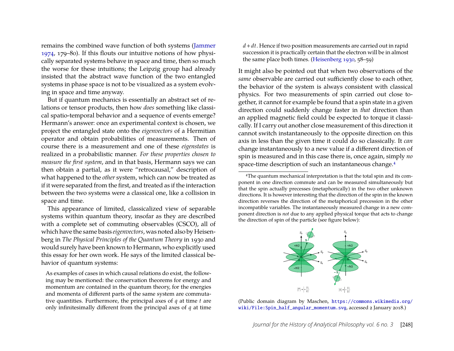remains the combined wave function of both systems [\(Jammer](#page-19-1) [1974,](#page-19-1) 179–80). If this flouts our intuitive notions of how physically separated systems behave in space and time, then so much the worse for these intuitions; the Leipzig group had already insisted that the abstract wave function of the two entangled systems in phase space is not to be visualized as a system evolving in space and time anyway.

But if quantum mechanics is essentially an abstract set of relations or tensor products, then how *does* something like classical spatio-temporal behavior and a sequence of events emerge? Hermann's answer: once an experimental context is chosen, we project the entangled state onto the *eigenvectors* of a Hermitian operator and obtain probabilities of measurements. Then of course there is a measurement and one of these *eigenstates* is realized in a probabilistic manner. *For these properties chosen to measure the first system*, and in that basis, Hermann says we can then obtain a partial, as it were "retrocausal," description of what happened to the *other* system, which can now be treated as if it were separated from the first, and treated as if the interaction between the two systems were a classical one, like a collision in space and time.

This appearance of limited, classicalized view of separable systems within quantum theory, insofar as they are described with a complete set of commuting observables (CSCO), all of which have the same basis *eigenvectors*, was noted also by Heisenberg in *The Physical Principles of the Quantum Theory* in 1930 and would surely have been known to Hermann, who explicitly used this essay for her own work. He says of the limited classical behavior of quantum systems:

As examples of cases in which causal relations do exist, the following may be mentioned: the conservation theorems for energy and momentum are contained in the quantum theory, for the energies and momenta of different parts of the same system are commutative quantities. Furthermore, the principal axes of *q* at time *t* are only infinitesimally different from the principal axes of *q* at time

*d*+*dt*. Hence if two position measurements are carried out in rapid succession it is practically certain that the electron will be in almost the same place both times. [\(Heisenberg 1930,](#page-19-4) 58–59)

It might also be pointed out that when two observations of the *same* observable are carried out sufficiently close to each other, the behavior of the system is always consistent with classical physics. For two measurements of spin carried out close together, it cannot for example be found that a spin state in a given direction could suddenly change faster in *that* direction than an applied magnetic field could be expected to torque it classically. If I carry out another close measurement of this direction it cannot switch instantaneously to the opposite direction on this axis in less than the given time it could do so classically. It *can* change instantaneously to a new value if a different direction of spin is measured and in this case there is, once again, simply *no* space-time description of such an instantaneous change.[4](#page-4-0)

<span id="page-4-0"></span><sup>4</sup>The quantum mechanical interpretation is that the total spin and its component in one direction commute and can be measured simultaneously but that the spin actually precesses (metaphorically) in the two other unknown directions. It is however interesting that the direction of the spin in the known direction reverses the direction of the metaphorical precession in the other incompatible variables. The instantaneously measured change in a new component direction is *not* due to any applied physical torque that acts to change the direction of spin of the particle (see figure below):



(Public domain diagram by Maschen, [https://commons.wikimedia.org/](https://commons.wikimedia.org/wiki/File:Spin_half_angular_momentum.svg) [wiki/File:Spin\\_half\\_angular\\_momentum.svg](https://commons.wikimedia.org/wiki/File:Spin_half_angular_momentum.svg), accessed 2 January 2018.)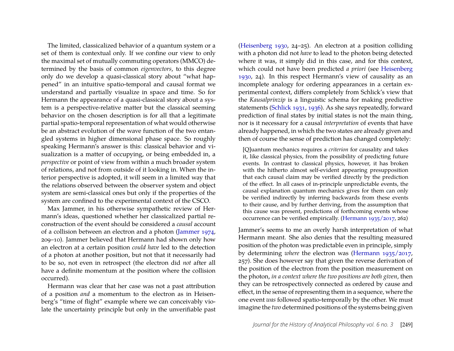The limited, classicalized behavior of a quantum system or a set of them is contextual only. If we confine our view to only the maximal set of mutually commuting operators (MMCO) determined by the basis of common *eigenvectors*, to this degree only do we develop a quasi-classical story about "what happened" in an intuitive spatio-temporal and causal format we understand and partially visualize in space and time. So for Hermann the appearance of a quasi-classical story about a system is a perspective-relative matter but the classical seeming behavior on the chosen description is for all that a legitimate partial spatio-temporal representation of what would otherwise be an abstract evolution of the wave function of the two entangled systems in higher dimensional phase space. So roughly speaking Hermann's answer is this: classical behavior and visualization is a matter of occupying, or being embedded in, a *perspective* or point of view from within a much broader system of relations, and not from outside of it looking in. When the interior perspective is adopted, it will seem in a limited way that the relations observed between the observer system and object system are semi-classical ones but only if the properties of the system are confined to the experimental context of the CSCO.

Max Jammer, in his otherwise sympathetic review of Hermann's ideas, questioned whether her classicalized partial reconstruction of the event should be considered a *causal* account of a collision between an electron and a photon [\(Jammer 1974,](#page-19-1) 209–10). Jammer believed that Hermann had shown only how an electron at a certain position *could have* led to the detection of a photon at another position, but not that it necessarily had to be so, not even in retrospect (the electron did *not* after all have a definite momentum at the position where the collision occurred).

Hermann was clear that her case was not a past attribution of a position *and* a momentum to the electron as in Heisenberg's "time of flight" example where we can conceivably violate the uncertainty principle but only in the unverifiable past

[\(Heisenberg 1930,](#page-19-4) 24–25). An electron at a position colliding with a photon did not *have* to lead to the photon being detected where it was, it simply did in this case, and for this context, which could not have been predicted *a priori* (see [Heisenberg](#page-19-4) [1930,](#page-19-4) 24). In this respect Hermann's view of causality as an incomplete analogy for ordering appearances in a certain experimental context, differs completely from Schlick's view that the *Kausalprinzip* is a linguistic schema for making predictive statements [\(Schlick 1931,](#page-19-5) [1936\)](#page-19-6). As she says repeatedly, forward prediction of final states by initial states is not the main thing, nor is it necessary for a causal *interpretation* of events that have already happened, in which the two states are already given and then of course the sense of prediction has changed completely:

[Q]uantum mechanics requires a *criterion* for causality and takes it, like classical physics, from the possibility of predicting future events. In contrast to classical physics, however, it has broken with the hitherto almost self-evident appearing presupposition that each causal claim may be verified directly by the prediction of the effect. In all cases of in-principle unpredictable events, the causal explanation quantum mechanics gives for them can only be verified indirectly by inferring backwards from these events to their cause, and by further deriving, from the assumption that this cause was present, predictions of forthcoming events whose occurrence can be verified empirically. [\(Hermann 1935/2017,](#page-19-7) 262)

Jammer's seems to me an overly harsh interpretation of what Hermann meant. She also denies that the resulting measured position of the photon was predictable even in principle, simply by determining *where* the electron was [\(Hermann 1935/2017,](#page-19-7) 257). She does however say that given the reverse derivation of the position of the electron from the position measurement on the photon, *in a context where the two positions are both given*, then they can be retrospectively connected as ordered by cause and effect, in the sense of representing them in a sequence, where the one event *was* followed spatio-temporally by the other. We must imagine the *two* determined positions of the systems being given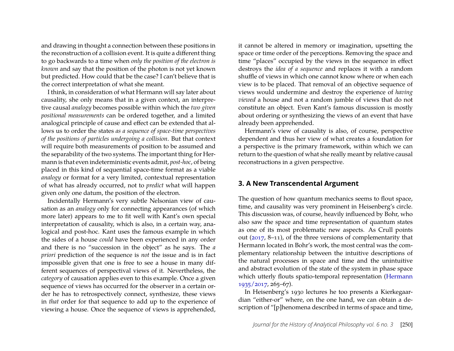and drawing in thought a connection between these positions in the reconstruction of a collision event. It is quite a different thing to go backwards to a time when *only the position of the electron is known* and say that the position of the photon is not yet known but predicted. How could that be the case? I can't believe that is the correct interpretation of what she meant.

I think, in consideration of what Hermann will say later about causality, she only means that in a given context, an interpretive causal *analogy* becomes possible within which the *two given positional measurements* can be ordered together, and a limited analogical principle of cause and effect can be extended that allows us to order the states *as a sequence of space-time perspectives of the positions of particles undergoing a collision*. But that context will require both measurements of position to be assumed and the separability of the two systems. The important thing for Hermann is that even indeterministic events admit, *post-hoc*, of being placed in this kind of sequential space-time format as a viable *analogy* or format for a very limited, contextual representation of what has already occurred, not to *predict* what will happen given only one datum, the position of the electron.

Incidentally Hermann's very subtle Nelsonian view of causation as an *analogy* only for connecting appearances (of which more later) appears to me to fit well with Kant's own special interpretation of causality, which is also, in a certain way, analogical and post-hoc. Kant uses the famous example in which the sides of a house *could* have been experienced in any order and there is no "succession in the object" as he says. The *a priori* prediction of the sequence is *not* the issue and is in fact impossible given that one is free to see a house in many different sequences of perspectival views of it. Nevertheless, the *category* of causation applies even to this example. Once a given sequence of views has occurred for the observer in a certain order he has to retrospectively connect, synthesize, these views in *that* order for that sequence to add up to the experience of viewing a house. Once the sequence of views is apprehended, it cannot be altered in memory or imagination, upsetting the space or time order of the perceptions. Removing the space and time "places" occupied by the views in the sequence in effect destroys the *idea of a sequence* and replaces it with a random shuffle of views in which one cannot know where or when each view is to be placed. That removal of an objective sequence of views would undermine and destroy the experience of *having viewed* a house and not a random jumble of views that do not constitute an object. Even Kant's famous discussion is mostly about ordering or synthesizing the views of an event that have already been apprehended.

Hermann's view of causality is also, of course, perspective dependent and thus her view of what creates a foundation for a perspective is the primary framework, within which we can return to the question of what she really meant by relative causal reconstructions in a given perspective.

### **3. A New Transcendental Argument**

The question of how quantum mechanics seems to flout space, time, and causality was very prominent in Heisenberg's circle. This discussion was, of course, heavily influenced by Bohr, who also saw the space and time representation of quantum states as one of its most problematic new aspects. As Crull points out [\(2017,](#page-18-0) 8–11), of the three versions of complementarity that Hermann located in Bohr's work, the most central was the complementary relationship between the intuitive descriptions of the natural processes in space and time and the unintuitive and abstract evolution of the state of the system in phase space which utterly flouts spatio-temporal representation [\(Hermann](#page-19-7) [1935/2017,](#page-19-7) 265–67).

In Heisenberg's 1930 lectures he too presents a Kierkegaardian "either-or" where, on the one hand, we can obtain a description of "[p]henomena described in terms of space and time,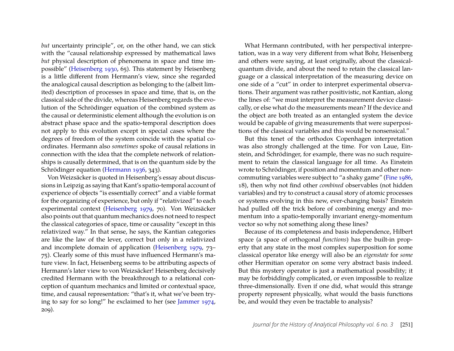*but* uncertainty principle", or, on the other hand, we can stick with the "causal relationship expressed by mathematical laws *but* physical description of phenomena in space and time impossible" [\(Heisenberg 1930,](#page-19-4) 65). This statement by Heisenberg is a little different from Hermann's view, since she regarded the analogical causal description as belonging to the (albeit limited) description of processes in space and time, that is, on the classical side of the divide, whereas Heisenberg regards the evolution of the Schrödinger equation of the combined system as the causal or deterministic element although the evolution is on abstract phase space and the spatio-temporal description does not apply to this evolution except in special cases where the degrees of freedom of the system coincide with the spatial coordinates. Hermann also *sometimes* spoke of causal relations in connection with the idea that the complete network of relationships is causally determined, that is on the quantum side by the Schrödinger equation [\(Hermann 1936,](#page-19-8) 343).

Von Weizsäcker is quoted in Heisenberg's essay about discussions in Leipzig as saying that Kant's spatio-temporal account of experience of objects "is essentially correct" and a viable format for the organizing of experience, but only if "relativized" to each experimental context [\(Heisenberg 1979,](#page-19-3) 70). Von Weizsäcker also points out that quantum mechanics does not need to respect the classical categories of space, time or causality "except in this relativized way." In that sense, he says, the Kantian categories are like the law of the lever, correct but only in a relativized and incomplete domain of application [\(Heisenberg 1979,](#page-19-3) 73– 75). Clearly some of this must have influenced Hermann's mature view. In fact, Heisenberg seems to be attributing aspects of Hermann's later view to von Weizsäcker! Heisenberg decisively credited Hermann with the breakthrough to a relational conception of quantum mechanics and limited or contextual space, time, and causal representation: "that's it, what we've been trying to say for so long!" he exclaimed to her (see [Jammer 1974,](#page-19-1) 209).

What Hermann contributed, with her perspectival interpretation, was in a way very different from what Bohr, Heisenberg and others were saying, at least originally, about the classicalquantum divide, and about the need to retain the classical language or a classical interpretation of the measuring device on one side of a "cut" in order to interpret experimental observations. Their argument was rather positivistic, not Kantian, along the lines of: "we must interpret the measurement device classically, or else what do the measurements mean? If the device and the object are both treated as an entangled system the device would be capable of giving measurements that were superpositions of the classical variables and this would be nonsensical."

But this tenet of the orthodox Copenhagen interpretation was also strongly challenged at the time. For von Laue, Einstein, and Schrödinger, for example, there was no such requirement to retain the classical language for all time. As Einstein wrote to Schrödinger, if position and momentum and other noncommuting variables were subject to "a shaky game" [\(Fine 1986,](#page-19-9) 18), then why not find other *combined* observables (not hidden variables) and try to construct a causal story of atomic processes or systems evolving in this new, ever-changing basis? Einstein had pulled off the trick before of combining energy and momentum into a spatio-temporally invariant energy-momentum vector so why not something along these lines?

Because of its completeness and basis independence, Hilbert space (a space of orthogonal *functions*) has the built-in property that any state in the most complex superposition for some classical operator like energy will also be an *eigenstate* for *some* other Hermitian operator on some very abstract basis indeed. But this mystery operator is just a mathematical possibility; it may be forbiddingly complicated, or even impossible to realize three-dimensionally. Even if one did, what would this strange property represent physically, what would the basis functions be, and would they even be tractable to analysis?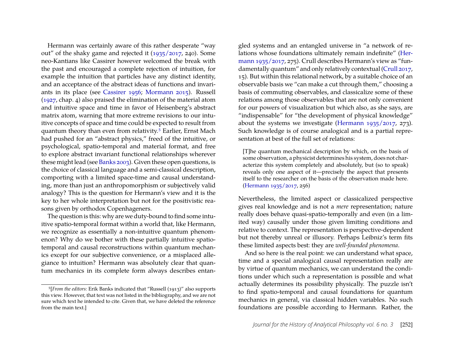Hermann was certainly aware of this rather desperate "way out" of the shaky game and rejected it [\(1935/2017,](#page-19-7) 240). Some neo-Kantians like Cassirer however welcomed the break with the past and encouraged a complete rejection of intuition, for example the intuition that particles have any distinct identity, and an acceptance of the abstract ideas of functions and invariants in its place (see [Cassirer 1956;](#page-18-2) [Mormann 2015\)](#page-19-10). Russell [\(1927,](#page-19-11) chap. 4) also praised the elimination of the material atom and intuitive space and time in favor of Heisenberg's abstract matrix atom, warning that more extreme revisions to our intuitive concepts of space and time could be expected to result from quantum theory than even from relativity.[5](#page-8-0) Earlier, Ernst Mach had pushed for an "abstract physics," freed of the intuitive, or psychological, spatio-temporal and material format, and free to explore abstract invariant functional relationships wherever these might lead (see [Banks 2003\)](#page-18-3). Given these open questions, is the choice of classical language and a semi-classical description, comporting with a limited space-time and causal understanding, more than just an anthropomorphism or subjectively valid analogy? This is the question for Hermann's view and it is the key to her whole interpretation but not for the positivistic reasons given by orthodox Copenhageners.

The question is this: why are we duty-bound to find some intuitive spatio-temporal format within a world that, like Hermann, we recognize as essentially a non-intuitive quantum phenomenon? Why do we bother with these partially intuitive spatiotemporal and causal reconstructions within quantum mechanics except for our subjective convenience, or a misplaced allegiance to intuition? Hermann was absolutely clear that quantum mechanics in its complete form always describes entangled systems and an entangled universe in "a network of relations whose foundations ultimately remain indefinite" [\(Her](#page-19-7)[mann 1935/2017,](#page-19-7) 275). Crull describes Hermann's view as "fundamentally quantum" and only relatively contextual [\(Crull 2017,](#page-18-0) 15). But within this relational network, by a suitable choice of an observable basis we "can make a cut through them," choosing a basis of commuting observables, and classicalize some of these relations among those observables that are not only convenient for our powers of visualization but which also, as she says, are "indispensable" for "the development of physical knowledge" about the systems we investigate [\(Hermann 1935/2017,](#page-19-7) 273). Such knowledge is of course analogical and is a partial representation at best of the full set of relations:

[T]he quantum mechanical description by which, on the basis of some observation, a physicist determines his system, does not characterize this system completely and absolutely, but (so to speak) reveals only one aspect of it—precisely the aspect that presents itself to the researcher on the basis of the observation made here. [\(Hermann 1935/2017,](#page-19-7) 256)

Nevertheless, the limited aspect or classicalized perspective gives real knowledge and is not a *mere* representation; nature really does behave quasi-spatio-temporally and even (in a limited way) causally under those given limiting conditions and relative to context. The representation is perspective-dependent but not thereby unreal or illusory. Perhaps Leibniz's term fits these limited aspects best: they are *well-founded phenomena*.

And so here is the real point: we can understand what space, time and a special analogical causal representation really are by virtue of quantum mechanics, we can understand the conditions under which such a representation is possible and what actually determines its possibility physically. The puzzle isn't to find spatio-temporal and causal foundations for quantum mechanics in general, via classical hidden variables. No such foundations are possible according to Hermann. Rather, the

<span id="page-8-0"></span><sup>5</sup>[*From the editors:* Erik Banks indicated that "Russell (1913)" also supports this view. However, that text was not listed in the bibliography, and we are not sure which text he intended to cite. Given that, we have deleted the reference from the main text.]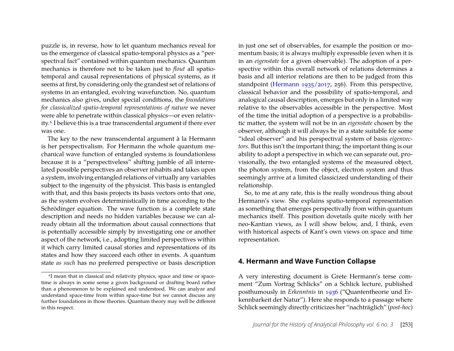puzzle is, in reverse, how to let quantum mechanics reveal for us the emergence of classical spatio-temporal physics as a "perspectival fact" contained within quantum mechanics. Quantum mechanics is therefore not to be taken just to *flout* all spatiotemporal and causal representations of physical systems, as it seems at first, by considering only the grandest set of relations of systems in an entangled, evolving wavefunction. No, quantum mechanics also gives, under special conditions, the *foundations for classicalized spatio-temporal representations of nature* we never were able to penetrate within classical physics—or even relativ-ity.<sup>[6](#page-9-0)</sup> I believe this is a true transcendental argument if there ever was one.

The key to the new transcendental argument à la Hermann is her perspectivalism. For Hermann the whole quantum mechanical wave function of entangled systems is foundationless because it is a "perspectiveless" shifting jumble of all interrelated possible perspectives an observer inhabits and takes upon a system, involving entangled relations of virtually any variables subject to the ingenuity of the physicist. This basis is entangled with that, and this basis projects its basis vectors onto that one, as the system evolves deterministically in time according to the Schrödinger equation. The wave function is a complete state description and needs no hidden variables because we can already obtain all the information about causal connections that is potentially accessible simply by investigating one or another aspect of the network, i.e., adopting limited perspectives within it which carry limited causal stories and representations of its states and how they succeed each other in events. A quantum state *as such* has no preferred perspective or basis description in just one set of observables, for example the position or momentum basis; it is always multiply expressible (even when it is in an *eigenstate* for a given observable). The adoption of a perspective within this overall network of relations determines a basis and all interior relations are then to be judged from this standpoint [\(Hermann 1935/2017,](#page-19-7) 256). From this perspective, classical behavior and the possibility of spatio-temporal, and analogical causal description, emerges but only in a limited way relative to the observables accessible in the perspective. Most of the time the initial adoption of a perspective is a probabilistic matter, the system will not be in an *eigenstate* chosen by the observer, although it will always be in a state suitable for some "ideal observer" and his perspectival system of basis *eigenvectors*. But this isn't the important thing; the important thing is our ability to adopt a perspective in which we can separate out, provisionally, the two entangled systems of the measured object, the photon system, from the object, electron system and thus seemingly arrive at a limited classicized understanding of their relationship.

So, to me at any rate, this is the really wondrous thing about Hermann's view. She explains spatio-temporal representation as something that emerges perspectivally from within quantum mechanics itself. This position dovetails quite nicely with her neo-Kantian views, as I will show below, and, I think, even with historical aspects of Kant's own views on space and time representation.

# **4. Hermann and Wave Function Collapse**

A very interesting document is Grete Hermann's terse comment "Zum Vortrag Schlicks" on a Schlick lecture, published posthumously in *Erkenntnis* in [1936](#page-19-8) ("Quantentheorie und Erkennbarkeit der Natur"). Here she responds to a passage where Schlick seemingly directly criticizes her "nachträglich" (*post-hoc*)

<span id="page-9-0"></span><sup>6</sup>I mean that in classical and relativity physics, space and time or spacetime is always in some sense a given background or drafting board rather than a phenomenon to be explained and understood. We can analyze and understand space-time from within space-time but we cannot discuss any further foundations in those theories. Quantum theory may well be different in this respect.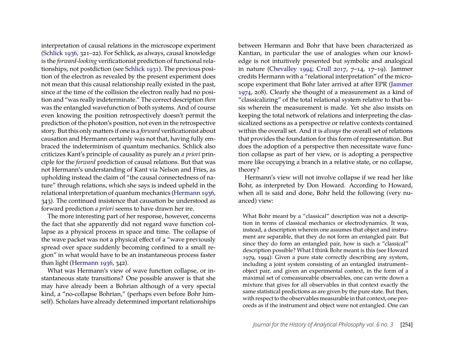interpretation of causal relations in the microscope experiment [\(Schlick 1936,](#page-19-6) 321–22). For Schlick, as always, causal knowledge is the *forward-looking* verificationist prediction of functional relationships, not postdiction (see [Schlick 1931\)](#page-19-5). The previous position of the electron as revealed by the present experiment does not mean that this causal relationship really existed in the past, since *at* the time of the collision the electron really had no position and "was really indeterminate." The correct description *then* was the entangled wavefunction of both systems. And of course even knowing the position retrospectively doesn't permit the prediction of the photon's position, not even in the retrospective story. But this only matters if one is a *forward* verificationist about causation and Hermann certainly was not that, having fully embraced the indeterminism of quantum mechanics. Schlick also criticizes Kant's principle of causality as purely an *a priori* principle for the *forward* prediction of causal relations. But that was not Hermann's understanding of Kant via Nelson and Fries, as upholding instead the claim of "the causal connectedness of nature" through relations, which she says is indeed upheld in the relational interpretation of quantum mechanics [\(Hermann 1936,](#page-19-8) 343). The continued insistence that causation be understood as forward prediction *a priori* seems to have drawn her ire.

The more interesting part of her response, however, concerns the fact that she apparently did not regard wave function collapse as a physical process in space and time. The collapse of the wave packet was not a physical effect of a "wave previously spread over space suddenly becoming confined to a small region" in what would have to be an instantaneous process faster than light [\(Hermann 1936,](#page-19-8) 342).

What was Hermann's view of wave function collapse, or instantaneous state transitions? One possible answer is that she may have already been a Bohrian although of a very special kind, a "no-collapse Bohrian," (perhaps even before Bohr himself). Scholars have already determined important relationships between Hermann and Bohr that have been characterized as Kantian, in particular the use of analogies when our knowledge is not intuitively presented but symbolic and analogical in nature [\(Chevalley 1994;](#page-18-4) [Crull 2017,](#page-18-0) 7–14, 17–19). Jammer credits Hermann with a "relational interpretation" of the microscope experiment that Bohr later arrived at after EPR [\(Jammer](#page-19-1) [1974,](#page-19-1) 208). Clearly she thought of a measurement as a kind of "classicalizing" of the total relational system relative to that basis wherein the measurement is made. Yet she also insists on keeping the total network of relations and interpreting the classicalized sections as a perspective or relative contexts contained within the overall set. And it is *always* the overall set of relations that provides the foundation for this form of representation. But does the adoption of a perspective then necessitate wave function collapse as part of her view, or is adopting a perspective more like occupying a branch in a relative state, or no collapse, theory?

Hermann's view will not involve collapse if we read her like Bohr, as interpreted by Don Howard. According to Howard, when all is said and done, Bohr held the following (very nuanced) view:

What Bohr meant by a "classical" description was not a description in terms of classical mechanics or electrodynamics. It was, instead, a description wherein one assumes that object and instrument are separable, that they do not form an entangled pair. But since they do form an entangled pair, how is such a "classical" description possible? What I think Bohr meant is this (see Howard 1979, 1994): Given a pure state correctly describing any system, including a joint system consisting of an entangled instrument– object pair, and given an experimental context, in the form of a maximal set of comeasureable observables, one can write down a mixture that gives for all observables in that context exactly the same statistical predictions as are given by the pure state. But then, with respect to the observables measurable in that context, one proceeds as if the instrument and object were not entangled. One can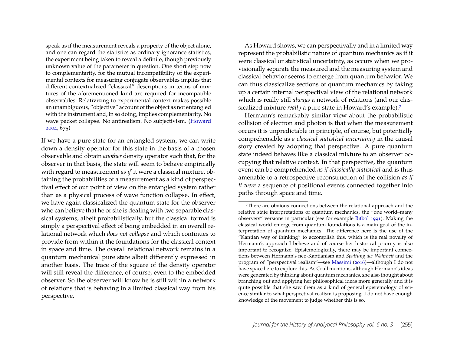speak as if the measurement reveals a property of the object alone, and one can regard the statistics as ordinary ignorance statistics, the experiment being taken to reveal a definite, though previously unknown value of the parameter in question. One short step now to complementarity, for the mutual incompatibility of the experimental contexts for measuring conjugate observables implies that different contextualized "classical" descriptions in terms of mixtures of the aforementioned kind are required for incompatible observables. Relativizing to experimental context makes possible an unambiguous, "objective" account of the object as not entangled with the instrument and, in so doing, implies complementarity. No wave packet collapse. No antirealism. No subjectivism. [\(Howard](#page-19-12) [2004,](#page-19-12) 675)

If we have a pure state for an entangled system, we can write down a density operator for this state in the basis of a chosen observable and obtain *another* density operator such that, for the observer in that basis, the state will seem to behave empirically with regard to measurement *as if* it were a classical mixture, obtaining the probabilities of a measurement as a kind of perspectival effect of our point of view on the entangled system rather than as a physical process of wave function collapse. In effect, we have again classicalized the quantum state for the observer who can believe that he or she is dealing with two separable classical systems, albeit probabilistically, but the classical format is simply a perspectival effect of being embedded in an overall relational network which *does not collapse* and which continues to provide from within it the foundations for the classical context in space and time. The overall relational network remains in a quantum mechanical pure state albeit differently expressed in another basis. The trace of the square of the density operator will still reveal the difference, of course, even to the embedded observer. So the observer will know he is still within a network of relations that is behaving in a limited classical way from his perspective.

As Howard shows, we can perspectivally and in a limited way represent the probabilistic nature of quantum mechanics as if it were classical or statistical uncertainty, as occurs when we provisionally separate the measured and the measuring system and classical behavior seems to emerge from quantum behavior. We can thus classicalize sections of quantum mechanics by taking up a certain internal perspectival view of the relational network which is really still *always* a network of relations (and our classicalized mixture *really* a pure state in Howard's example).[7](#page-11-0)

Hermann's remarkably similar view about the probabilistic collision of electron and photon is that when the measurement occurs it is unpredictable in principle, of course, but potentially comprehensible as *a classical statistical uncertainty* in the causal story created by adopting that perspective. A pure quantum state indeed behaves like a classical mixture to an observer occupying that relative context. In that perspective, the quantum event can be comprehended *as if classically statistical* and is thus amenable to a retrospective reconstruction of the collision *as if it were* a sequence of positional events connected together into paths through space and time.

<span id="page-11-0"></span><sup>7</sup>There are obvious connections between the relational approach and the relative state interpretations of quantum mechanics, the "one world–many observers" versions in particular (see for example [Bitbol 1991\)](#page-18-5). Making the classical world emerge from quantum foundations is a main goal of the interpretation of quantum mechanics. The difference here is the use of the "Kantian way of thinking" to accomplish this, which is the real novelty of Hermann's approach I believe and of course her historical priority is also important to recognize. Epistemologically, there may be important connections between Hermann's neo-Kantianism and *Spaltung der Wahrheit* and the program of "perspectival realism"—see [Massimi](#page-19-13) [\(2016\)](#page-19-13)—although I do not have space here to explore this. As Crull mentions, although Hermann's ideas were generated by thinking about quantum mechanics, she also thought about branching out and applying her philosophical ideas more generally and it is quite possible that she saw them as a kind of general epistemology of science similar to what perspectival realism is proposing. I do not have enough knowledge of the movement to judge whether this is so.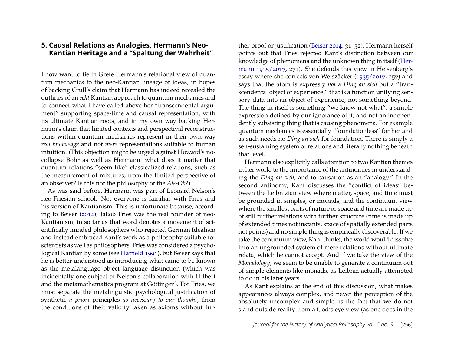### **5. Causal Relations as Analogies, Hermann's Neo-Kantian Heritage and a "Spaltung der Wahrheit"**

I now want to tie in Grete Hermann's relational view of quantum mechanics to the neo-Kantian lineage of ideas, in hopes of backing Crull's claim that Hermann has indeed revealed the outlines of an *echt* Kantian approach to quantum mechanics and to connect what I have called above her "transcendental argument" supporting space-time and causal representation, with its ultimate Kantian roots, and in my own way backing Hermann's claim that limited contexts and perspectival reconstructions within quantum mechanics represent in their own way *real knowledge* and not *mere* representations suitable to human intuition. (This objection might be urged against Howard's nocollapse Bohr as well as Hermann: what does it matter that quantum relations "seem like" classicalized relations, such as the measurement of mixtures, from the limited perspective of an observer? Is this not the philosophy of the *Als-Ob*?)

As was said before, Hermann was part of Leonard Nelson's neo-Friesian school. Not everyone is familiar with Fries and his version of Kantianism. This is unfortunate because, according to Beiser [\(2014\)](#page-18-6), Jakob Fries was the real founder of neo-Kantianism, in so far as that word denotes a movement of scientifically minded philosophers who rejected German Idealism and instead embraced Kant's work as a philosophy suitable for scientists as well as philosophers. Fries was considered a psychological Kantian by some (see [Hatfield 1991\)](#page-19-14), but Beiser says that he is better understood as introducing what came to be known as the metalanguage–object language distinction (which was incidentally one subject of Nelson's collaboration with Hilbert and the metamathematics program at Göttingen). For Fries, we must separate the metalinguistic psychological justification of synthetic *a priori* principles *as necessary to our thought*, from the conditions of their validity taken as axioms without further proof or justification [\(Beiser 2014,](#page-18-6) 31–32). Hermann herself points out that Fries rejected Kant's distinction between our knowledge of phenomena and the unknown thing in itself [\(Her](#page-19-7)[mann 1935/2017,](#page-19-7) 271). She defends this view in Heisenberg's essay where she corrects von Weiszäcker [\(1935/2017,](#page-19-7) 257) and says that the atom is expressly *not* a *Ding an sich* but a "transcendental object of experience," that is a function unifying sensory data into an object of experience, not something beyond. The thing in itself is something "we know not what", a simple expression defined by our ignorance of it, and not an independently subsisting thing that is causing phenomena. For example quantum mechanics is essentially "foundationless" for her and as such needs no *Ding an sich* for foundation. There is simply a self-sustaining system of relations and literally nothing beneath that level.

Hermann also explicitly calls attention to two Kantian themes in her work: to the importance of the antinomies in understanding the *Ding an sich*, and to causation as an "analogy." In the second antinomy, Kant discusses the "conflict of ideas" between the Leibnizian view where matter, space, and time must be grounded in simples, or monads, and the continuum view where the smallest parts of nature or space and time are made up of still further relations with further structure (time is made up of extended times not instants, space of spatially extended parts not points) and no simple thing is empirically discoverable. If we take the continuum view, Kant thinks, the world would dissolve into an ungrounded system of mere relations without ultimate relata, which he cannot accept. And if we take the view of the *Monadology*, we seem to be unable to generate a continuum out of simple elements like monads, as Leibniz actually attempted to do in his later years.

As Kant explains at the end of this discussion, what makes appearances always complex, and never the perception of the absolutely uncomplex and simple, is the fact that we do not stand outside reality from a God's eye view (as one does in the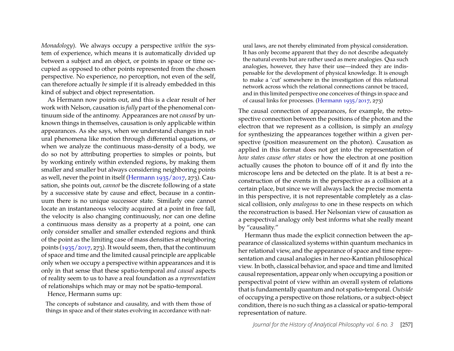*Monadology*). We always occupy a perspective *within* the system of experience, which means it is automatically divided up between a subject and an object, or points in space or time occupied as opposed to other points represented from the chosen perspective. No experience, no perception, not even of the self, can therefore actually *be* simple if it is already embedded in this kind of subject and object representation.

As Hermann now points out, and this is a clear result of her work with Nelson, causation is *fully* part of the phenomenal continuum side of the antinomy. Appearances are not *caused* by unknown things in themselves, causation is only applicable within appearances. As she says, when we understand changes in natural phenomena like motion through differential equations, or when we analyze the continuous mass-density of a body, we do so not by attributing properties to simples or points, but by working entirely within extended regions, by making them smaller and smaller but always considering neighboring points as well, never the point in itself [\(Hermann 1935/2017,](#page-19-7) 273). Causation, she points out, *cannot* be the discrete following of a state by a successive state by cause and effect, because in a continuum there is no unique successor state. Similarly one cannot locate an instantaneous velocity acquired at a point in free fall, the velocity is also changing continuously, nor can one define a continuous mass density as a property at a point, one can only consider smaller and smaller extended regions and think of the point as the limiting case of mass densities at neighboring points [\(1935/2017,](#page-19-7) 273). It would seem, then, that the continuum of space and time and the limited causal principle are applicable only when we occupy a perspective within appearances and it is only in that sense that these spatio-temporal *and causal* aspects of reality seem to us to have a real foundation as a *representation* of relationships which may or may not be spatio-temporal.

Hence, Hermann sums up:

The concepts of substance and causality, and with them those of things in space and of their states evolving in accordance with nat-

ural laws, are not thereby eliminated from physical consideration. It has only become apparent that they do not describe adequately the natural events but are rather used as mere analogies. Qua such analogies, however, they have their use—indeed they are indispensable for the development of physical knowledge. It is enough to make a 'cut' somewhere in the investigation of this relational network across which the relational connections cannot be traced, and in this limited perspective one conceives of things in space and of causal links for processes. [\(Hermann 1935/2017,](#page-19-7) 273)

The causal connection of appearances, for example, the retrospective connection between the positions of the photon and the electron that we represent as a collision, is simply an *analogy* for synthesizing the appearances together within a given perspective (position measurement on the photon). Causation as applied in this format does not get into the representation of *how states cause other states* or how the electron at one position actually causes the photon to bounce off of it and fly into the microscope lens and be detected on the plate. It is at best a reconstruction of the events in the perspective as a collision at a certain place, but since we will always lack the precise momenta in this perspective, it is not representable completely as a classical collision, only *analogous* to one in these respects on which the reconstruction is based. Her Nelsonian view of causation as a perspectival analogy only best informs what she really meant by "causality."

Hermann thus made the explicit connection between the appearance of classicalized systems within quantum mechanics in her relational view, and the appearance of space and time representation and causal analogies in her neo-Kantian philosophical view. In both, classical behavior, and space and time and limited causal representation, appear only when occupying a position or perspectival point of view within an overall system of relations that is fundamentally quantum and not spatio-temporal. *Outside* of occupying a perspective on those relations, or a subject-object condition, there is no such thing as a classical or spatio-temporal representation of nature.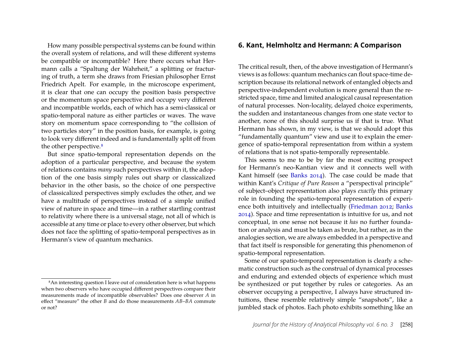How many possible perspectival systems can be found within the overall system of relations, and will these different systems be compatible or incompatible? Here there occurs what Hermann calls a "Spaltung der Wahrheit," a splitting or fracturing of truth, a term she draws from Friesian philosopher Ernst Friedrich Apelt. For example, in the microscope experiment, it is clear that one can occupy the position basis perspective or the momentum space perspective and occupy very different and incompatible worlds, each of which has a semi-classical or spatio-temporal nature as either particles or waves. The wave story on momentum space corresponding to "the collision of two particles story" in the position basis, for example, is going to look very different indeed and is fundamentally split off from the other perspective.<sup>[8](#page-14-0)</sup>

But since spatio-temporal representation depends on the adoption of a particular perspective, and because the system of relations contains *many* such perspectives within it, the adoption of the one basis simply rules out sharp or classicalized behavior in the other basis, so the choice of one perspective of classicalized perspectives simply excludes the other, and we have a multitude of perspectives instead of a simple unified view of nature in space and time—in a rather startling contrast to relativity where there is a universal stage, not all of which is accessible at any time or place to every other observer, but which does not face the splitting of spatio-temporal perspectives as in Hermann's view of quantum mechanics.

#### **6. Kant, Helmholtz and Hermann: A Comparison**

The critical result, then, of the above investigation of Hermann's views is as follows: quantum mechanics can flout space-time description because its relational network of entangled objects and perspective-independent evolution is more general than the restricted space, time and limited analogical causal representation of natural processes. Non-locality, delayed choice experiments, the sudden and instantaneous changes from one state vector to another, none of this should surprise us if that is true. What Hermann has shown, in my view, is that we should adopt this "fundamentally quantum" view and use it to explain the emergence of spatio-temporal representation from within a system of relations that is not spatio-temporally representable.

This seems to me to be by far the most exciting prospect for Hermann's neo-Kantian view and it connects well with Kant himself (see [Banks 2014\)](#page-18-7). The case could be made that within Kant's *Critique of Pure Reason* a "perspectival principle" of subject–object representation also plays *exactly* this primary role in founding the spatio-temporal representation of experience both intuitively and intellectually [\(Friedman 2012;](#page-19-2) [Banks](#page-18-7) [2014\)](#page-18-7). Space and time representation is intuitive for us, and not conceptual, in one sense not because it *has* no further foundation or analysis and must be taken as brute, but rather, as in the analogies section, we are always embedded in a perspective and that fact itself is responsible for generating this phenomenon of spatio-temporal representation.

Some of our spatio-temporal representation is clearly a schematic construction such as the construal of dynamical processes and enduring and extended objects of experience which must be synthesized or put together by rules or categories. As an observer occupying a perspective, I always have structured intuitions, these resemble relatively simple "snapshots", like a jumbled stack of photos. Each photo exhibits something like an

<span id="page-14-0"></span><sup>8</sup>An interesting question I leave out of consideration here is what happens when two observers who have occupied different perspectives compare their measurements made of incompatible observables? Does one observer *A* in effect "measure" the other *B* and do those measurements *AB*–*BA* commute or not?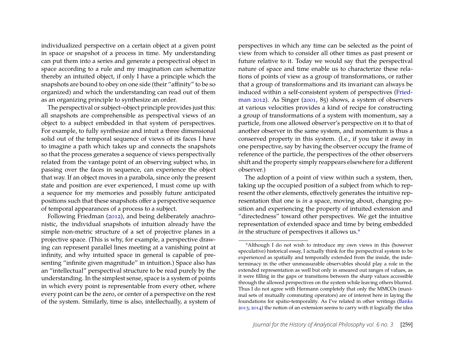individualized perspective on a certain object at a given point in space or snapshot of a process in time. My understanding can put them into a series and generate a perspectival object in space according to a rule and my imagination can schematize thereby an intuited object, if only I have a principle which the snapshots are bound to obey on one side (their "affinity" to be so organized) and which the understanding can read out of them as an organizing principle to synthesize an order.

The perspectival or subject–object principle provides just this: all snapshots are comprehensible as perspectival views of an object to a subject embedded in that system of perspectives. For example, to fully synthesize and intuit a three dimensional solid out of the temporal sequence of views of its faces I have to imagine a path which takes up and connects the snapshots so that the process generates a sequence of views perspectivally related from the vantage point of an observing subject who, in passing over the faces in sequence, can experience the object that way. If an object moves in a parabola, since only the present state and position are ever experienced, I must come up with a sequence for my memories and possibly future anticipated positions such that these snapshots offer a perspective sequence of temporal appearances of a process to a subject.

Following Friedman [\(2012\)](#page-19-2), and being deliberately anachronistic, the individual snapshots of intuition already have the simple non-metric structure of a set of projective planes in a projective space. (This is why, for example, a perspective drawing can represent parallel lines meeting at a vanishing point at infinity, and why intuited space in general is capable of presenting "infinite given magnitude" in intuition.) Space also has an "intellectual" perspectival structure to be read purely by the understanding. In the simplest sense, space is a system of points in which every point is representable from every other, where every point can be the zero, or center of a perspective on the rest of the system. Similarly, time is also, intellectually, a system of perspectives in which any time can be selected as the point of view from which to consider all other times as past present or future relative to it. Today we would say that the perspectival nature of space and time enable us to characterize these relations of points of view as a group of transformations, or rather that a group of transformations and its invariant can always be induced within a self-consistent system of perspectives [\(Fried](#page-19-2)[man 2012\)](#page-19-2). As Singer [\(2001,](#page-19-15) 85) shows, a system of observers at various velocities provides a kind of recipe for constructing a group of transformations of a system with momentum, say a particle, from one allowed observer's perspective on it to that of another observer in the same system, and momentum is thus a conserved property in this system. (I.e., if you take it away in one perspective, say by having the observer occupy the frame of reference of the particle, the perspectives of the other observers shift and the property simply reappears elsewhere for a different observer.)

The adoption of a point of view within such a system, then, taking up the occupied position of a subject from which to represent the other elements, effectively generates the intuitive representation that one is *in* a space, moving about, changing position and experiencing the property of intuited extension and "directedness" toward other perspectives. We get the intuitive representation of extended space and time by being embedded *in* the structure of perspectives it allows us.<sup>[9](#page-15-0)</sup>

<span id="page-15-0"></span><sup>9</sup>Although I do not wish to introduce my own views in this (however speculative) historical essay, I actually think for the perspectival system to be experienced as spatially and temporally extended from the inside, the indeterminacy in the other unmeasurable observables should play a role in the extended representation as well but only in smeared out ranges of values, as it were filling in the gaps or transitions between the sharp values accessible through the allowed perspectives on the system while leaving others blurred. Thus I do not agree with Hermann completely that only the MMCOs (maximal sets of mutually commuting operators) are of interest here in laying the foundations for spatio-temporality. As I've related in other writings [\(Banks](#page-18-8) [2013;](#page-18-8) [2014\)](#page-18-7) the notion of an extension seems to carry with it logically the idea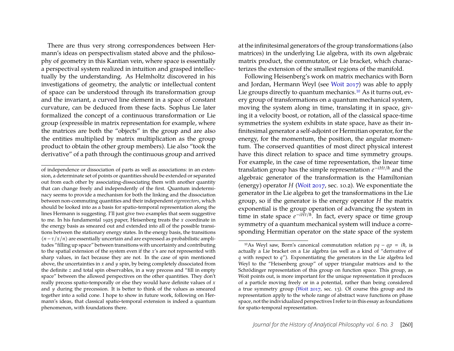There are thus very strong correspondences between Hermann's ideas on perspectivalism stated above and the philosophy of geometry in this Kantian vein, where space is essentially a perspectival system realized in intuition and grasped intellectually by the understanding. As Helmholtz discovered in his investigations of geometry, the analytic or intellectual content of space can be understood through its transformation group and the invariant, a curved line element in a space of constant curvature, can be deduced from these facts. Sophus Lie later formalized the concept of a continuous transformation or Lie group (expressible in matrix representation for example, where the matrices are both the "objects" in the group and are also the entities multiplied by matrix multiplication as the group product to obtain the other group members). Lie also "took the derivative" of a path through the continuous group and arrived

at the infinitesimal generators of the group transformations (also matrices) in the underlying Lie algebra, with its own algebraic matrix product, the commutator, or Lie bracket, which characterizes the extension of the smallest regions of the manifold.

Following Heisenberg's work on matrix mechanics with Born and Jordan, Hermann Weyl (see [Woit 2017\)](#page-19-16) was able to apply Lie groups directly to quantum mechanics.<sup>[10](#page-16-0)</sup> As it turns out, every group of transformations on a quantum mechanical system, moving the system along in time, translating it in space, giving it a velocity boost, or rotation, all of the classical space-time symmetries the system exhibits in state space, have as their infinitesimal generator a self-adjoint or Hermitian operator, for the energy, for the momentum, the position, the angular momentum. The conserved quantities of most direct physical interest have this direct relation to space and time symmetry groups. For example, in the case of time representation, the linear time translation group has the simple representation  $e^{-iHt/\hbar}$  and the algebraic generator of the transformation is the Hamiltonian (energy) operator *H* [\(Woit 2017,](#page-19-16) sec. 10.2). We exponentiate the generator in the Lie algebra to get the transformations in the Lie group, so if the generator is the energy operator *H* the matrix exponential is the group operation of advancing the system in time in state space  $e^{-i\hat{Ht}/\hbar}$ . In fact, every space or time group symmetry of a quantum mechanical system will induce a corresponding Hermitian operator on the state space of the system

of independence or dissociation of parts as well as associations: in an extension, a determinate set of points or quantities should be extended or separated out from each other by associating-dissociating them with another quantity that can change freely and independently of the first. Quantum indeterminacy seems to provide a mechanism for both the linking and the dissociation between non-commuting quantities and their independent *eigenvectors*, which should be looked into as a basis for spatio-temporal representation along the lines Hermann is suggesting. I'll just give two examples that seem suggestive to me. In his fundamental 1925 paper, Heisenberg treats the *x* coordinate in the energy basis as smeared out and extended into all of the possible transitions between the stationary energy states. In the energy basis, the transitions  $\langle n-\tau/x/n \rangle$  are essentially uncertain and are expressed as probabilistic amplitudes "filling up space" between transitions with uncertainty and contributing to the spatial extension of the system even if the *x*'s are not represented with sharp values, in fact because they are not. In the case of spin mentioned above, the uncertainties in *x* and *y* spin, by being completely dissociated from the definite *z* and total spin observables, in a way precess and "fill in empty space" between the allowed perspectives on the other quantities. They don't really precess spatio-temporally or else they would have definite values of *x* and *y* during the precession. It is better to think of the values as smeared together into a solid cone. I hope to show in future work, following on Hermann's ideas, that classical spatio-temporal extension is indeed a quantum phenomenon, with foundations there.

<span id="page-16-0"></span><sup>10</sup>As Weyl saw, Born's canonical commutation relation *pq* − *qp i*~, is actually a Lie bracket on a Lie algebra (as well as a kind of "derivative of *q* with respect to *q*"). Exponentiating the generators in the Lie algebra led Weyl to the "Heisenberg group" of upper triangular matrices and to the Schrödinger representation of this group on function space. This group, as Woit points out, is more important for the unique representation it produces of a particle moving freely or in a potential, rather than being considered a true symmetry group [\(Woit 2017,](#page-19-16) sec. 13). Of course this group and its representation apply to the whole range of abstract wave functions on phase space, not the individualized perspectives I refer to in this essay as foundations for spatio-temporal representation.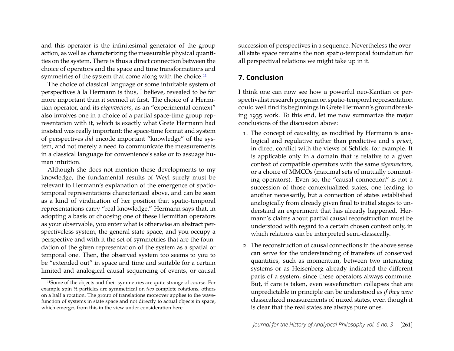and this operator is the infinitesimal generator of the group action, as well as characterizing the measurable physical quantities on the system. There is thus a direct connection between the choice of operators and the space and time transformations and symmetries of the system that come along with the choice.<sup>[11](#page-17-0)</sup>

The choice of classical language or some intuitable system of perspectives à la Hermann is thus, I believe, revealed to be far more important than it seemed at first. The choice of a Hermitian operator, and its *eigenvectors*, as an "experimental context" also involves one in a choice of a partial space-time group representation with it, which is exactly what Grete Hermann had insisted was really important: the space-time format and system of perspectives *did* encode important "knowledge" of the system, and not merely a need to communicate the measurements in a classical language for convenience's sake or to assuage human intuition.

Although she does not mention these developments to my knowledge, the fundamental results of Weyl surely must be relevant to Hermann's explanation of the emergence of spatiotemporal representations characterized above, and can be seen as a kind of vindication of her position that spatio-temporal representations carry "real knowledge." Hermann says that, in adopting a basis or choosing one of these Hermitian operators as your observable, you enter what is otherwise an abstract perspectiveless system, the general state space, and you occupy a perspective and with it the set of symmetries that are the foundation of the given representation of the system as a spatial or temporal one. Then, the observed system too seems to you to be "extended out" in space and time and suitable for a certain limited and analogical causal sequencing of events, or causal succession of perspectives in a sequence. Nevertheless the overall state space remains the non spatio-temporal foundation for all perspectival relations we might take up in it.

# **7. Conclusion**

I think one can now see how a powerful neo-Kantian or perspectivalist research program on spatio-temporal representation could well find its beginnings in Grete Hermann's groundbreaking 1935 work. To this end, let me now summarize the major conclusions of the discussion above:

- 1. The concept of causality, as modified by Hermann is analogical and regulative rather than predictive and *a priori*, in direct conflict with the views of Schlick, for example. It is applicable only in a domain that is relative to a given context of compatible operators with the same *eigenvectors*, or a choice of MMCOs (maximal sets of mutually commuting operators). Even so, the "causal connection" is not a succession of those contextualized states, one leading to another necessarily, but a connection of states established analogically from already given final to initial stages to understand an experiment that has already happened. Hermann's claims about partial causal reconstruction must be understood with regard to a certain chosen context only, in which relations can be interpreted semi-classically.
- 2. The reconstruction of causal connections in the above sense can serve for the understanding of transfers of conserved quantities, such as momentum, between two interacting systems or as Heisenberg already indicated the different parts of a system, since these operators always commute. But, if care is taken, even wavefunction collapses that are unpredictable in principle can be understood *as if they were* classicalized measurements of mixed states, even though it is clear that the real states are always pure ones.

<span id="page-17-0"></span><sup>11</sup>Some of the objects and their symmetries are quite strange of course. For example spin ½ particles are symmetrical on *two* complete rotations, others on a half a rotation. The group of translations moreover applies to the wavefunction of systems in state space and not directly to actual objects in space, which emerges from this in the view under consideration here.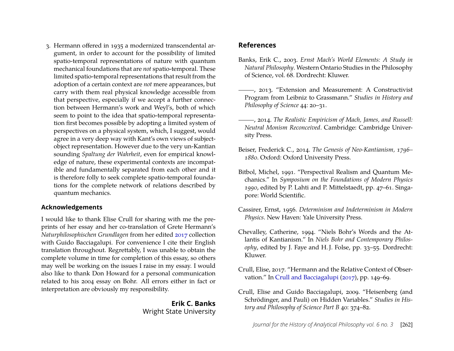3. Hermann offered in 1935 a modernized transcendental argument, in order to account for the possibility of limited spatio-temporal representations of nature with quantum mechanical foundations that are *not* spatio-temporal. These limited spatio-temporal representations that result from the adoption of a certain context are *not* mere appearances, but carry with them real physical knowledge accessible from that perspective, especially if we accept a further connection between Hermann's work and Weyl's, both of which seem to point to the idea that spatio-temporal representation first becomes possible by adopting a limited system of perspectives on a physical system, which, I suggest, would agree in a very deep way with Kant's own views of subjectobject representation. However due to the very un-Kantian sounding *Spaltung der Wahrheit*, even for empirical knowledge of nature, these experimental contexts are incompatible and fundamentally separated from each other and it is therefore folly to seek complete spatio-temporal foundations for the complete network of relations described by quantum mechanics.

#### **Acknowledgements**

I would like to thank Elise Crull for sharing with me the preprints of her essay and her co-translation of Grete Hermann's *Naturphilosophischen Grundlagen* from her edited [2017](#page-19-17) collection with Guido Bacciagalupi. For convenience I cite their English translation throughout. Regrettably, I was unable to obtain the complete volume in time for completion of this essay, so others may well be working on the issues I raise in my essay. I would also like to thank Don Howard for a personal communication related to his 2004 essay on Bohr. All errors either in fact or interpretation are obviously my responsibility.

> **Erik C. Banks** Wright State University

# **References**

- <span id="page-18-3"></span>Banks, Erik C., 2003. *Ernst Mach's World Elements: A Study in Natural Philosophy*. Western Ontario Studies in the Philosophy of Science, vol. 68. Dordrecht: Kluwer.
- <span id="page-18-8"></span>(2013) ------, 2013. "Extension and Measurement: A Constructivist Program from Leibniz to Grassmann." *Studies in History and Philosophy of Science* 44: 20–31.
- <span id="page-18-7"></span>, 2014. *The Realistic Empiricism of Mach, James, and Russell: Neutral Monism Reconceived*. Cambridge: Cambridge University Press.
- <span id="page-18-6"></span>Beiser, Frederick C., 2014. *The Genesis of Neo-Kantianism, 1796– 1880*. Oxford: Oxford University Press.
- <span id="page-18-5"></span>Bitbol, Michel, 1991. "Perspectival Realism and Quantum Mechanics." In *Symposium on the Foundations of Modern Physics 1990*, edited by P. Lahti and P. Mittelstaedt, pp. 47–61. Singapore: World Scientific.
- <span id="page-18-2"></span>Cassirer, Ernst, 1956. *Determinism and Indeterminism in Modern Physics*. New Haven: Yale University Press.
- <span id="page-18-4"></span>Chevalley, Catherine, 1994. "Niels Bohr's Words and the Atlantis of Kantianism." In *Niels Bohr and Contemporary Philosophy*, edited by J. Faye and H. J. Folse, pp. 33–55. Dordrecht: Kluwer.
- <span id="page-18-0"></span>Crull, Elise, 2017. "Hermann and the Relative Context of Observation." In [Crull and Bacciagalupi](#page-19-17) [\(2017\)](#page-19-17), pp. 149–69.
- <span id="page-18-1"></span>Crull, Elise and Guido Bacciagalupi, 2009. "Heisenberg (and Schrödinger, and Pauli) on Hidden Variables." *Studies in History and Philosophy of Science Part B* 40: 374–82.